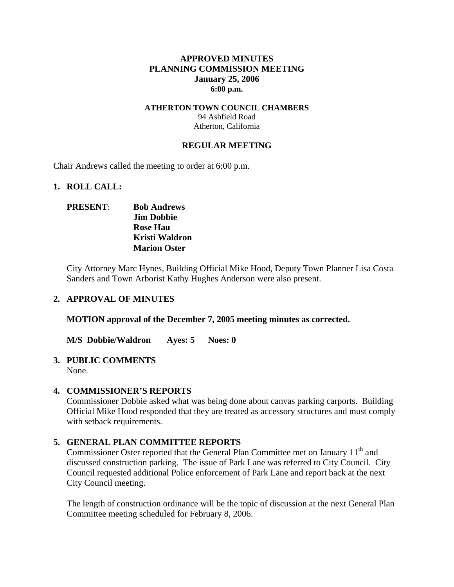### **APPROVED MINUTES PLANNING COMMISSION MEETING January 25, 2006 6:00 p.m.**

#### **ATHERTON TOWN COUNCIL CHAMBERS**  94 Ashfield Road Atherton, California

### **REGULAR MEETING**

Chair Andrews called the meeting to order at 6:00 p.m.

#### **1. ROLL CALL:**

## **PRESENT**: **Bob Andrews Jim Dobbie Rose Hau Kristi Waldron Marion Oster**

City Attorney Marc Hynes, Building Official Mike Hood, Deputy Town Planner Lisa Costa Sanders and Town Arborist Kathy Hughes Anderson were also present.

### **2. APPROVAL OF MINUTES**

**MOTION approval of the December 7, 2005 meeting minutes as corrected.** 

**M/S Dobbie/Waldron Ayes: 5 Noes: 0** 

## **3. PUBLIC COMMENTS**

None.

### **4. COMMISSIONER'S REPORTS**

Commissioner Dobbie asked what was being done about canvas parking carports. Building Official Mike Hood responded that they are treated as accessory structures and must comply with setback requirements.

### **5. GENERAL PLAN COMMITTEE REPORTS**

Commissioner Oster reported that the General Plan Committee met on January  $11<sup>th</sup>$  and discussed construction parking. The issue of Park Lane was referred to City Council. City Council requested additional Police enforcement of Park Lane and report back at the next City Council meeting.

The length of construction ordinance will be the topic of discussion at the next General Plan Committee meeting scheduled for February 8, 2006.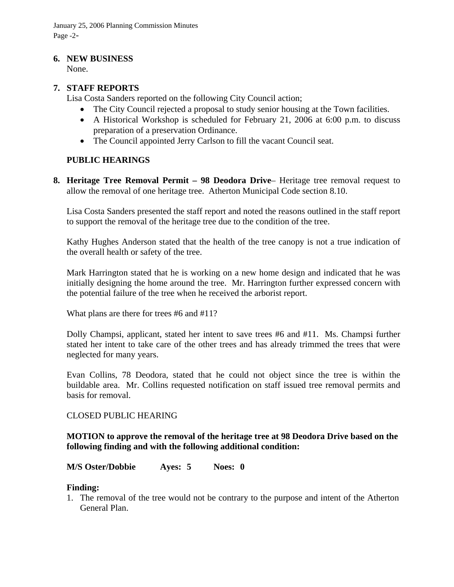January 25, 2006 Planning Commission Minutes Page -2-

#### **6. NEW BUSINESS**

None.

### **7. STAFF REPORTS**

Lisa Costa Sanders reported on the following City Council action;

- The City Council rejected a proposal to study senior housing at the Town facilities.
- A Historical Workshop is scheduled for February 21, 2006 at 6:00 p.m. to discuss preparation of a preservation Ordinance.
- The Council appointed Jerry Carlson to fill the vacant Council seat.

### **PUBLIC HEARINGS**

**8. Heritage Tree Removal Permit – 98 Deodora Drive**– Heritage tree removal request to allow the removal of one heritage tree. Atherton Municipal Code section 8.10.

Lisa Costa Sanders presented the staff report and noted the reasons outlined in the staff report to support the removal of the heritage tree due to the condition of the tree.

Kathy Hughes Anderson stated that the health of the tree canopy is not a true indication of the overall health or safety of the tree.

Mark Harrington stated that he is working on a new home design and indicated that he was initially designing the home around the tree. Mr. Harrington further expressed concern with the potential failure of the tree when he received the arborist report.

What plans are there for trees #6 and #11?

Dolly Champsi, applicant, stated her intent to save trees #6 and #11. Ms. Champsi further stated her intent to take care of the other trees and has already trimmed the trees that were neglected for many years.

Evan Collins, 78 Deodora, stated that he could not object since the tree is within the buildable area. Mr. Collins requested notification on staff issued tree removal permits and basis for removal.

### CLOSED PUBLIC HEARING

### **MOTION to approve the removal of the heritage tree at 98 Deodora Drive based on the following finding and with the following additional condition:**

### **M/S Oster/Dobbie Ayes: 5 Noes: 0**

### **Finding:**

1. The removal of the tree would not be contrary to the purpose and intent of the Atherton General Plan.